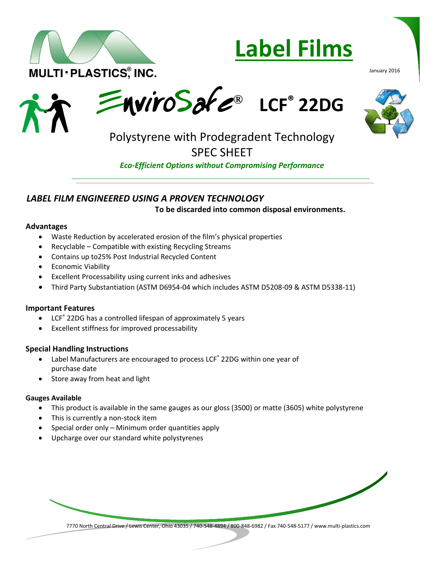

# **Label Films**

January 2016





## SPEC SHEET

*Eco-Efficient Options without Compromising Performance*

#### *LABEL FILM ENGINEERED USING A PROVEN TECHNOLOGY*

**To be discarded into common disposal environments.** 

#### **Advantages**

- Waste Reduction by accelerated erosion of the film's physical properties
- Recyclable Compatible with existing Recycling Streams
- Contains up to25% Post Industrial Recycled Content
- **•** Economic Viability
- Excellent Processability using current inks and adhesives
- Third Party Substantiation (ASTM D6954-04 which includes ASTM D5208-09 & ASTM D5338-11)

#### **Important Features**

- LCF ® 22DG has a controlled lifespan of approximately 5 years
- Excellent stiffness for improved processability

#### **Special Handling Instructions**

- Label Manufacturers are encouraged to process LCF ® 22DG within one year of purchase date
- Store away from heat and light

#### **Gauges Available**

- This product is available in the same gauges as our gloss (3500) or matte (3605) white polystyrene
- This is currently a non-stock item
- Special order only Minimum order quantities apply
- Upcharge over our standard white polystyrenes

7770 North Central Drive / Lewis Center, Ohio 43035 / 740-548-4894 / 800-848-6982 / Fax 740-548-5177 / www.multi-plastics.com